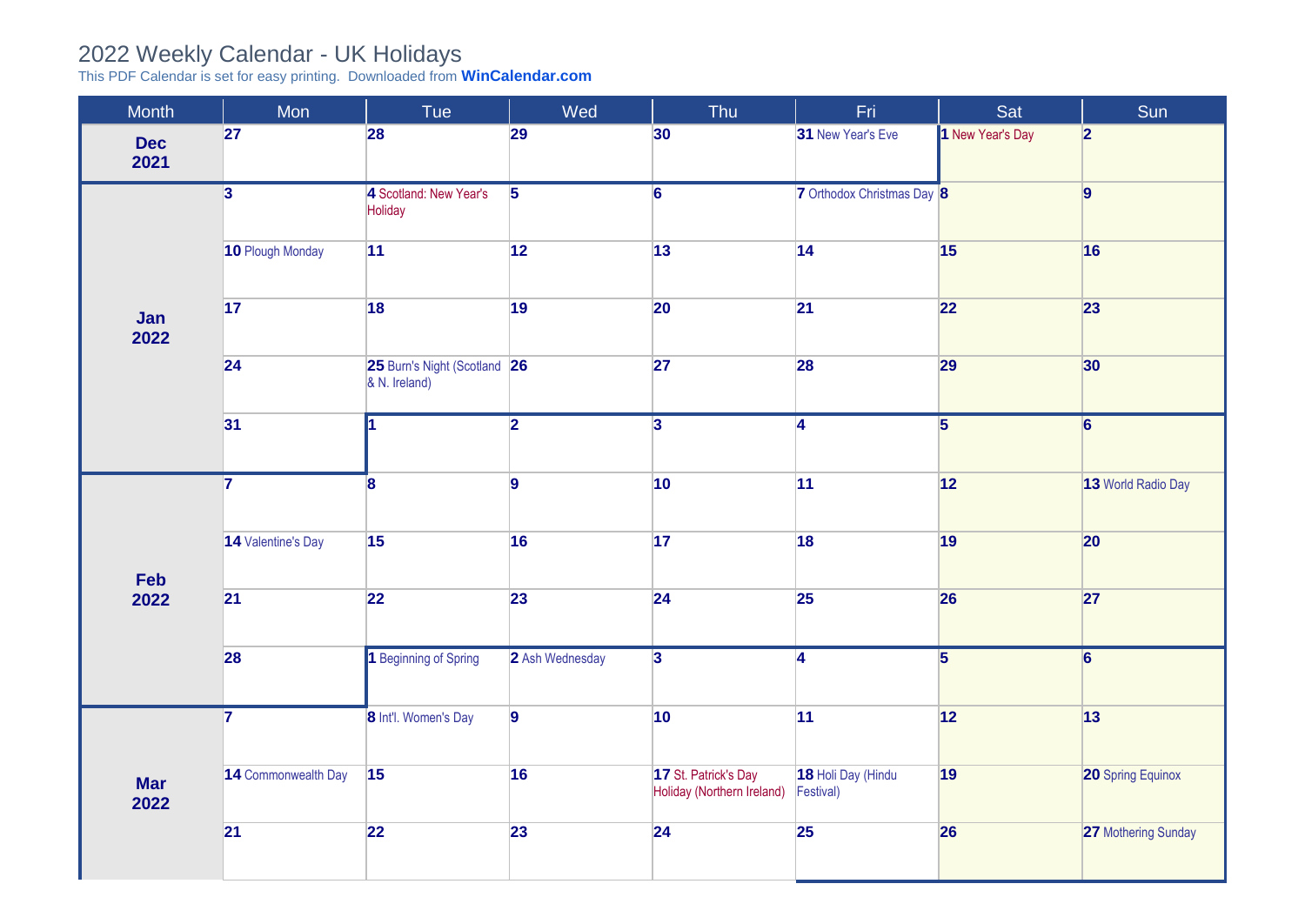## 2022 Weekly Calendar - UK Holidays

This PDF Calendar is set for easy printing. Downloaded from **[WinCalendar.com](https://www.wincalendar.com/2022-Calendar-with-UK-Holidays)**

| Month              | Mon                     | Tue                                           | Wed             | Thu                                                | Fri.                            | Sat                     | Sun                      |
|--------------------|-------------------------|-----------------------------------------------|-----------------|----------------------------------------------------|---------------------------------|-------------------------|--------------------------|
| <b>Dec</b><br>2021 | 27                      | 28                                            | 29              | 30                                                 | 31 New Year's Eve               | 1 New Year's Day        | 2                        |
| Jan<br>2022        | $\overline{\mathbf{3}}$ | 4 Scotland: New Year's<br>Holiday             | $\overline{5}$  | $\overline{6}$                                     | 7 Orthodox Christmas Day 8      |                         | 9                        |
|                    | 10 Plough Monday        | 11                                            | 12              | $\boxed{13}$                                       | 14                              | 15                      | 16                       |
|                    | $\overline{17}$         | 18                                            | 19              | 20                                                 | 21                              | 22                      | 23                       |
|                    | $\overline{24}$         | 25 Burn's Night (Scotland 26<br>& N. Ireland) |                 | 27                                                 | 28                              | 29                      | 30                       |
|                    | 31                      |                                               | $\overline{2}$  | $\overline{3}$                                     | $\overline{4}$                  | $\overline{\mathbf{5}}$ | $\overline{6}$           |
| Feb<br>2022        | $\overline{7}$          | $\mathbf{8}$                                  | $\overline{9}$  | 10 <sup>1</sup>                                    | 11                              | 12                      | 13 World Radio Day       |
|                    | 14 Valentine's Day      | 15                                            | 16              | 17                                                 | 18                              | 19                      | 20                       |
|                    | 21                      | 22                                            | 23              | 24                                                 | 25                              | 26                      | 27                       |
|                    | 28                      | 1 Beginning of Spring                         | 2 Ash Wednesday | $\overline{3}$                                     | $\overline{4}$                  | $\overline{5}$          | $\overline{6}$           |
| <b>Mar</b><br>2022 | $\overline{7}$          | 8 Int'l. Women's Day                          | $\overline{9}$  | $ 10\rangle$                                       | 11                              | 12                      | 13                       |
|                    | 14 Commonwealth Day     | 15                                            | 16              | 17 St. Patrick's Day<br>Holiday (Northern Ireland) | 18 Holi Day (Hindu<br>Festival) | 19                      | <b>20 Spring Equinox</b> |
|                    | 21                      | 22                                            | 23              | 24                                                 | 25                              | 26                      | 27 Mothering Sunday      |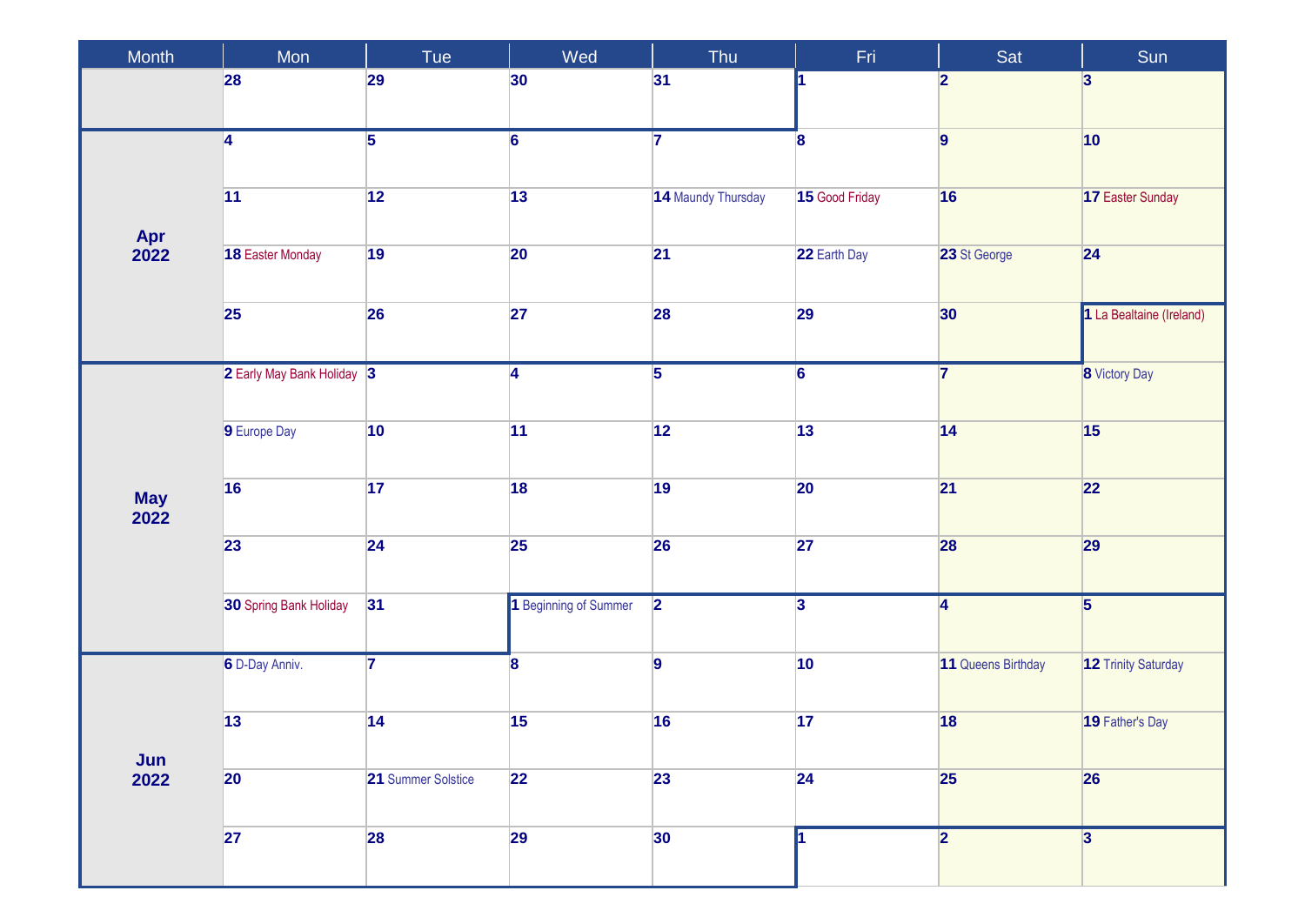| Month              | Mon                        | Tue                | Wed                   | Thu                | Fri                     | Sat                     | Sun                      |
|--------------------|----------------------------|--------------------|-----------------------|--------------------|-------------------------|-------------------------|--------------------------|
|                    | 28                         | 29                 | 30                    | 31                 |                         | $\overline{2}$          | $\overline{\mathbf{3}}$  |
| Apr<br>2022        | 4                          | $\overline{5}$     | $\overline{6}$        | $\overline{7}$     | 8                       | $\overline{9}$          | $ 10\rangle$             |
|                    | 11                         | 12                 | 13                    | 14 Maundy Thursday | 15 Good Friday          | 16                      | 17 Easter Sunday         |
|                    | 18 Easter Monday           | 19                 | 20                    | $\overline{21}$    | 22 Earth Day            | 23 St George            | 24                       |
|                    | <b>25</b>                  | 26                 | 27                    | 28                 | 29                      | 30                      | 1 La Bealtaine (Ireland) |
|                    | 2 Early May Bank Holiday 3 |                    | $\overline{4}$        | $\overline{5}$     | $\overline{6}$          | $\overline{\mathbf{7}}$ | <b>8</b> Victory Day     |
|                    | 9 Europe Day               | 10                 | 11                    | 12                 | 13                      | 14                      | 15                       |
| <b>May</b><br>2022 | 16                         | 17                 | 18                    | 19                 | 20                      | 21                      | 22                       |
|                    | 23                         | 24                 | 25                    | 26                 | 27                      | 28                      | 29                       |
|                    | 30 Spring Bank Holiday     | 31                 | 1 Beginning of Summer | $\overline{2}$     | $\overline{\mathbf{3}}$ | $\overline{4}$          | $\overline{5}$           |
| Jun<br>2022        | 6 D-Day Anniv.             | $\overline{7}$     | 8                     | $\overline{9}$     | 10                      | 11 Queens Birthday      | 12 Trinity Saturday      |
|                    | 13                         | 14                 | 15                    | 16                 | 17                      | 18                      | 19 Father's Day          |
|                    | $ 20\rangle$               | 21 Summer Solstice | 22                    | 23                 | 24                      | 25                      | 26                       |
|                    | 27                         | 28                 | 29                    | 30 <sup>°</sup>    |                         | $\overline{2}$          | $\overline{3}$           |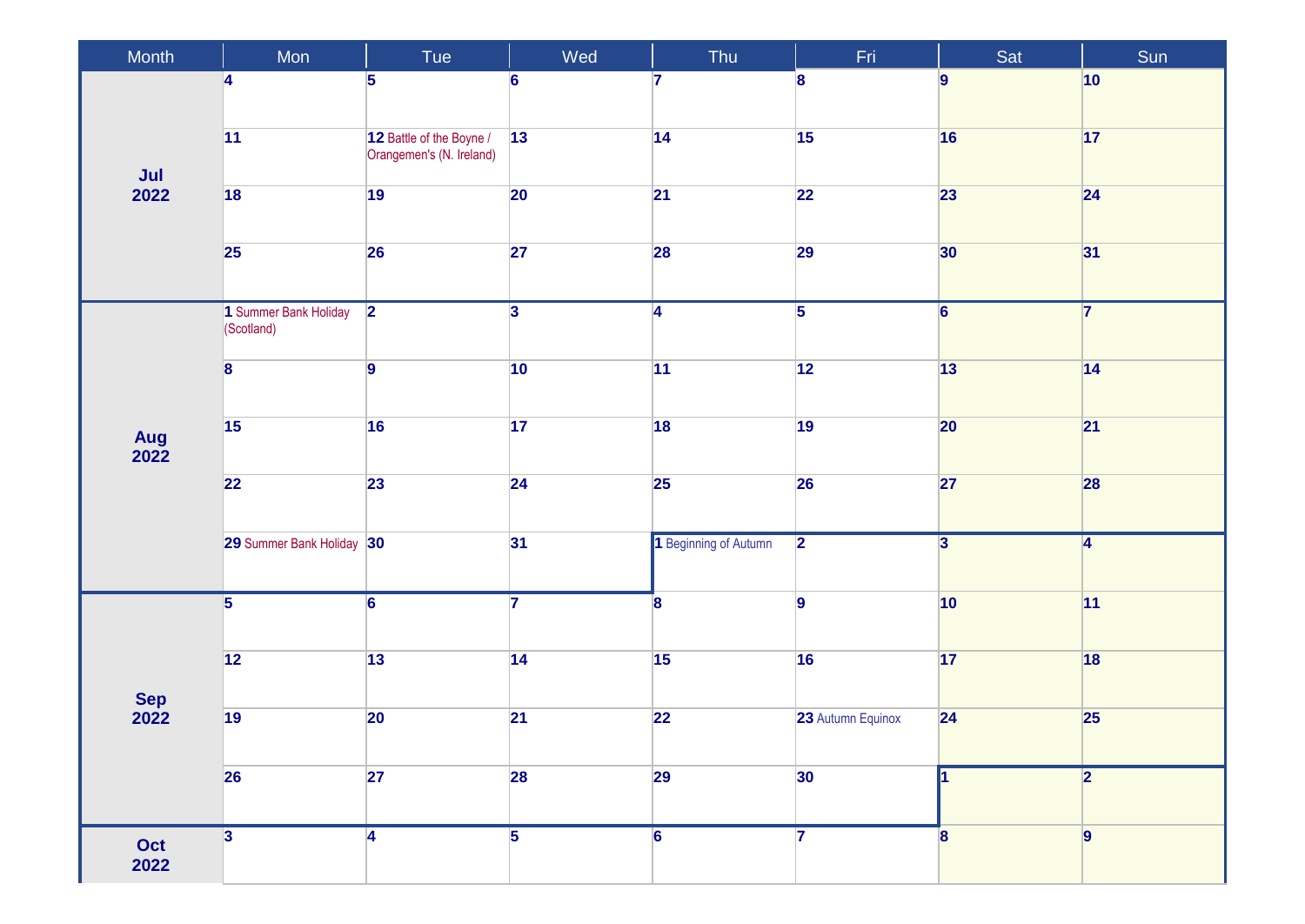| Month       | Mon                                 | Tue                                                  | Wed             | Thu                     | Fri.              | Sat                     | Sun            |
|-------------|-------------------------------------|------------------------------------------------------|-----------------|-------------------------|-------------------|-------------------------|----------------|
| Jul<br>2022 | 4                                   | 5                                                    | $6\phantom{a}$  | $\overline{7}$          | 8                 | $\overline{9}$          | $ 10\rangle$   |
|             | 11                                  | 12 Battle of the Boyne /<br>Orangemen's (N. Ireland) | 13              | 14                      | 15                | 16                      | 17             |
|             | 18                                  | 19                                                   | 20              | 21                      | 22                | 23                      | 24             |
|             | 25                                  | 26                                                   | 27              | 28                      | 29                | 30                      | 31             |
|             | 1 Summer Bank Holiday<br>(Scotland) | $\overline{2}$                                       | $\overline{3}$  | $\overline{\bf 4}$      | $\overline{5}$    | $\overline{6}$          | $\overline{7}$ |
|             | $\overline{\mathbf{8}}$             | $\overline{9}$                                       | 10              | 11                      | 12                | 13                      | $\boxed{14}$   |
| Aug<br>2022 | 15                                  | 16                                                   | 17              | 18                      | 19                | 20                      | 21             |
|             | $\overline{22}$                     | 23                                                   | 24              | 25                      | 26                | 27                      | 28             |
|             | 29 Summer Bank Holiday 30           |                                                      | 31              | 1 Beginning of Autumn   | $\overline{2}$    | $\overline{\mathbf{3}}$ | $\overline{4}$ |
| Sep<br>2022 | $\overline{5}$                      | $\overline{6}$                                       | $\overline{7}$  | $\overline{\mathbf{8}}$ | 9                 | 10                      | 11             |
|             | $\overline{12}$                     | 13                                                   | $\overline{14}$ | 15                      | 16                | 17                      | 18             |
|             | 19                                  | 20                                                   | $\overline{21}$ | 22                      | 23 Autumn Equinox | 24                      | 25             |
|             | 26                                  | 27                                                   | <b>28</b>       | 29                      | 30                |                         | 2              |
| Oct<br>2022 | 3                                   | 4                                                    | $\overline{5}$  | 6                       | 7                 | $\overline{\mathbf{8}}$ | $\vert$ 9      |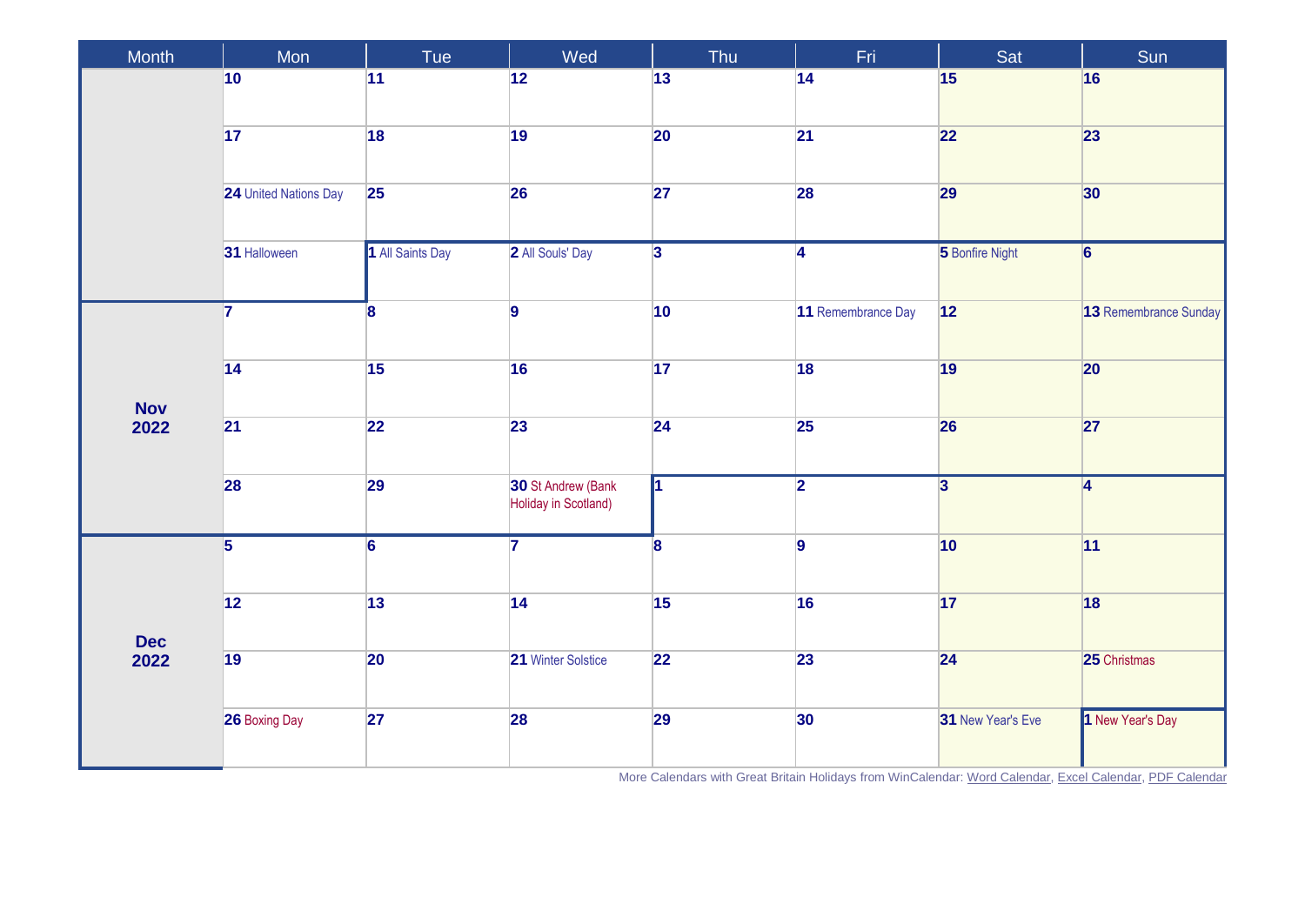| Month              | Mon                   | Tue                     | Wed                                        | Thu                     | Fri                     | Sat                     | Sun                   |
|--------------------|-----------------------|-------------------------|--------------------------------------------|-------------------------|-------------------------|-------------------------|-----------------------|
|                    | $ 10\rangle$          | 11                      | 12                                         | 13                      | 14                      | 15                      | 16                    |
|                    | $\overline{17}$       | 18                      | 19                                         | 20                      | 21                      | 22                      | 23                    |
|                    | 24 United Nations Day | 25                      | 26                                         | 27                      | 28                      | 29                      | 30                    |
|                    | 31 Halloween          | 1 All Saints Day        | 2 All Souls' Day                           | $\overline{3}$          | $\overline{\mathbf{4}}$ | 5 Bonfire Night         | $\overline{6}$        |
|                    | $\overline{7}$        | $\overline{\mathbf{8}}$ | $\overline{9}$                             | 10                      | 11 Remembrance Day      | 12                      | 13 Remembrance Sunday |
|                    | $\overline{14}$       | 15                      | 16                                         | 17                      | 18                      | 19                      | 20                    |
| <b>Nov</b><br>2022 | $\overline{21}$       | 22                      | 23                                         | 24                      | 25                      | 26                      | 27                    |
|                    | 28                    | 29                      | 30 St Andrew (Bank<br>Holiday in Scotland) | Īſ                      | $\overline{2}$          | $\overline{\mathbf{3}}$ | $\overline{4}$        |
| <b>Dec</b><br>2022 | $\overline{5}$        | $\overline{6}$          | $\overline{\mathbf{z}}$                    | $\overline{\mathbf{8}}$ | 9                       | 10                      | 11                    |
|                    | $\boxed{12}$          | 13                      | 14                                         | 15                      | 16                      | 17                      | 18                    |
|                    | $\overline{19}$       | 20                      | 21 Winter Solstice                         | 22                      | 23                      | 24                      | 25 Christmas          |
|                    | 26 Boxing Day         | 27                      | 28                                         | <b>29</b>               | 30                      | 31 New Year's Eve       | 1 New Year's Day      |

More Calendars with Great Britain Holidays from WinCalendar: [Word Calendar,](https://www.wincalendar.com/2022-Calendar-with-UK-Holidays) [Excel Calendar,](https://www.wincalendar.com/2022-Calendar-UK-Holidays-Excel) [PDF Calendar](https://www.wincalendar.com/2022-Calendar-UK-Holidays-PDF)